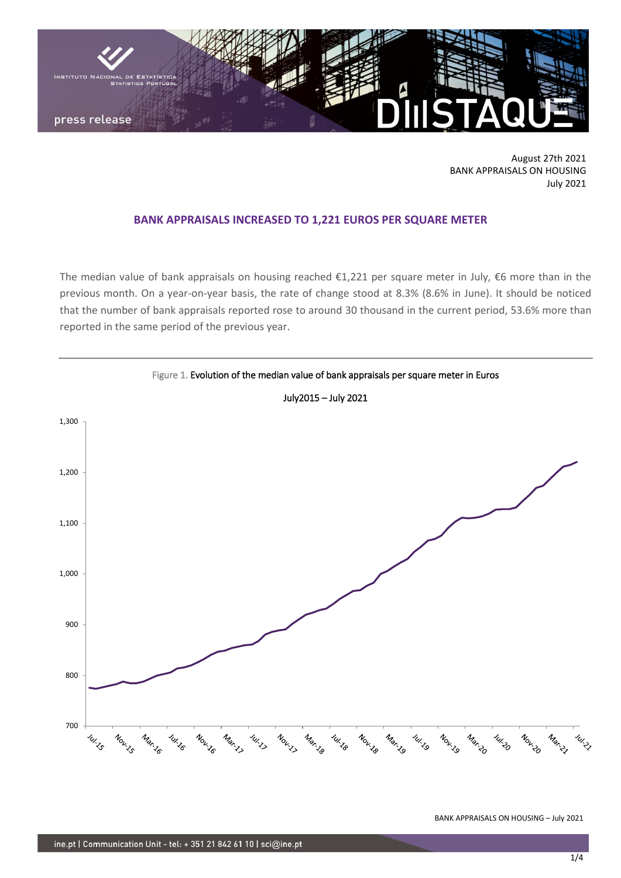

August 27th 2021 BANK APPRAISALS ON HOUSING July 2021

## **BANK APPRAISALS INCREASED TO 1,221 EUROS PER SQUARE METER**

The median value of bank appraisals on housing reached €1,221 per square meter in July, €6 more than in the previous month. On a year-on-year basis, the rate of change stood at 8.3% (8.6% in June). It should be noticed that the number of bank appraisals reported rose to around 30 thousand in the current period, 53.6% more than reported in the same period of the previous year.



BANK APPRAISALS ON HOUSING – July 2021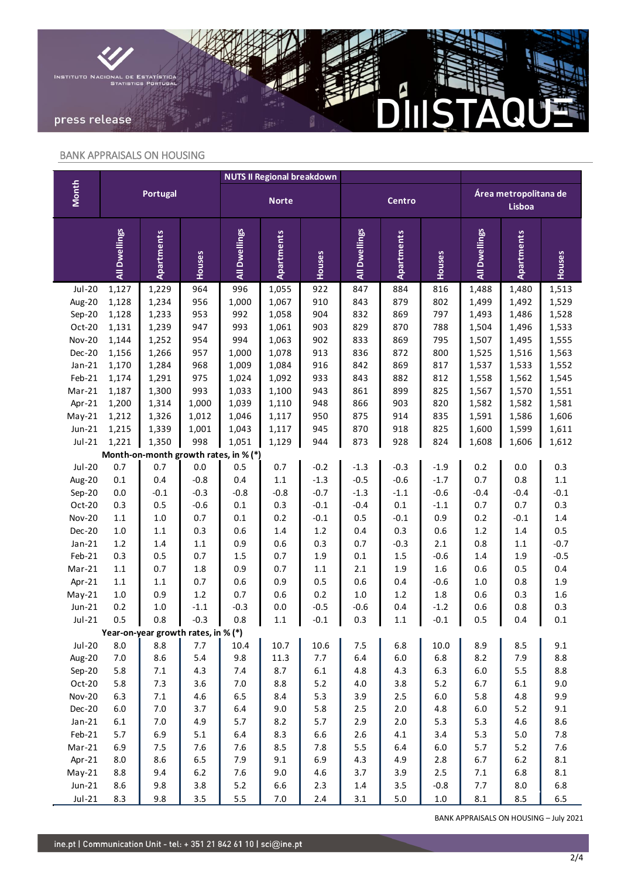

## BANK APPRAISALS ON HOUSING

|                                       | <b>Portugal</b> |                                     |                | <b>NUTS II Regional breakdown</b> |            |            |                |                   |               |                                 |                |                  |
|---------------------------------------|-----------------|-------------------------------------|----------------|-----------------------------------|------------|------------|----------------|-------------------|---------------|---------------------------------|----------------|------------------|
| <b>Month</b>                          |                 |                                     |                | <b>Norte</b>                      |            |            | Centro         |                   |               | Área metropolitana de<br>Lisboa |                |                  |
|                                       | All Dwellings   | <b>Apartments</b>                   | Houses         | All Dwellings                     | Apartments | Houses     | All Dwellings  | <b>Apartments</b> | Houses        | All Dwellings                   | Apartments     | Houses           |
| $Jul-20$                              | 1,127           | 1,229                               | 964            | 996                               | 1,055      | 922        | 847            | 884               | 816           | 1,488                           | 1,480          | 1,513            |
| Aug-20                                | 1,128           | 1,234                               | 956            | 1,000                             | 1,067      | 910        | 843            | 879               | 802           | 1,499                           | 1,492          | 1,529            |
| Sep-20                                | 1,128           | 1,233                               | 953            | 992                               | 1,058      | 904        | 832            | 869               | 797           | 1,493                           | 1,486          | 1,528            |
| Oct-20                                | 1,131           | 1,239                               | 947            | 993                               | 1,061      | 903        | 829            | 870               | 788           | 1,504                           | 1,496          | 1,533            |
| <b>Nov-20</b>                         | 1,144           | 1,252                               | 954            | 994                               | 1,063      | 902        | 833            | 869               | 795           | 1,507                           | 1,495          | 1,555            |
| Dec-20                                | 1,156           | 1,266                               | 957            | 1,000                             | 1,078      | 913        | 836            | 872               | 800           | 1,525                           | 1,516          | 1,563            |
| $Jan-21$                              | 1,170           | 1,284                               | 968            | 1,009                             | 1,084      | 916        | 842            | 869               | 817           | 1,537                           | 1,533          | 1,552            |
| Feb-21                                | 1,174           | 1,291                               | 975            | 1,024                             | 1,092      | 933        | 843            | 882               | 812           | 1,558                           | 1,562          | 1,545            |
| $Mar-21$                              | 1,187           | 1,300                               | 993            | 1,033                             | 1,100      | 943        | 861            | 899               | 825           | 1,567                           | 1,570          | 1,551            |
| Apr-21                                | 1,200           | 1,314                               | 1,000          | 1,039                             | 1,110      | 948        | 866            | 903               | 820           | 1,582                           | 1,582          | 1,581            |
| $May-21$                              | 1,212           | 1,326                               | 1,012          | 1,046                             | 1,117      | 950        | 875            | 914               | 835           | 1,591                           | 1,586          | 1,606            |
| $Jun-21$                              | 1,215           | 1,339                               | 1,001          | 1,043                             | 1,117      | 945        | 870            | 918               | 825           | 1,600                           | 1,599          | 1,611            |
| $Jul-21$                              | 1,221           | 1,350                               | 998            | 1,051                             | 1,129      | 944        | 873            | 928               | 824           | 1,608                           | 1,606          | 1,612            |
| Month-on-month growth rates, in % (*) |                 |                                     |                |                                   |            |            |                |                   |               |                                 |                |                  |
| <b>Jul-20</b>                         | 0.7             | 0.7                                 | $0.0\,$        | 0.5                               | 0.7        | $-0.2$     | $-1.3$         | $-0.3$            | $-1.9$        | 0.2                             | 0.0            | 0.3              |
| Aug-20                                | $0.1\,$         | 0.4                                 | $-0.8$         | 0.4                               | $1.1\,$    | $-1.3$     | $-0.5$         | $-0.6$            | $-1.7$        | 0.7                             | 0.8            | $1.1\,$          |
| Sep-20                                | 0.0             | $-0.1$                              | $-0.3$         | $-0.8$                            | $-0.8$     | $-0.7$     | $-1.3$         | $-1.1$            | $-0.6$        | $-0.4$                          | $-0.4$         | $-0.1$           |
| Oct-20                                | 0.3             | 0.5                                 | $-0.6$         | $0.1\,$                           | 0.3        | $-0.1$     | $-0.4$         | $0.1\,$           | $-1.1$        | 0.7                             | 0.7            | 0.3              |
| <b>Nov-20</b>                         | $1.1\,$         | $1.0\,$                             | 0.7            | $0.1\,$                           | 0.2        | $-0.1$     | 0.5            | $-0.1$            | 0.9           | 0.2                             | $-0.1$         | $1.4\,$          |
| Dec-20                                | $1.0\,$         | $1.1\,$                             | 0.3            | 0.6                               | $1.4\,$    | $1.2\,$    | 0.4            | 0.3               | $0.6\,$       | 1.2                             | $1.4\,$        | 0.5              |
| $Jan-21$<br>Feb-21                    | $1.2\,$<br>0.3  | $1.4\,$<br>0.5                      | $1.1\,$<br>0.7 | 0.9<br>$1.5\,$                    | 0.6<br>0.7 | 0.3<br>1.9 | 0.7<br>$0.1\,$ | $-0.3$<br>1.5     | 2.1<br>$-0.6$ | 0.8<br>1.4                      | $1.1\,$<br>1.9 | $-0.7$<br>$-0.5$ |
| Mar-21                                | $1.1\,$         | 0.7                                 | $1.8\,$        | 0.9                               | 0.7        | $1.1\,$    | 2.1            | 1.9               | $1.6\,$       | 0.6                             | 0.5            | 0.4              |
| Apr-21                                | $1.1\,$         | $1.1\,$                             | 0.7            | 0.6                               | 0.9        | 0.5        | 0.6            | 0.4               | $-0.6$        | 1.0                             | 0.8            | 1.9              |
| $May-21$                              | $1.0\,$         | 0.9                                 | 1.2            | $0.7\,$                           | 0.6        | 0.2        | $1.0\,$        | $1.2\,$           | $1.8\,$       | 0.6                             | 0.3            | 1.6              |
| $Jun-21$                              | $0.2\,$         | $1.0\,$                             | $-1.1$         | $-0.3$                            | $0.0\,$    | $-0.5$     | $-0.6$         | 0.4               | $-1.2$        | 0.6                             | 0.8            | 0.3              |
| $Jul-21$                              | 0.5             | 0.8                                 | $-0.3$         | 0.8                               | 1.1        | $-0.1$     | 0.3            | 1.1               | $-0.1$        | 0.5                             | 0.4            | 0.1              |
|                                       |                 | Year-on-year growth rates, in % (*) |                |                                   |            |            |                |                   |               |                                 |                |                  |
| <b>Jul-20</b>                         | 8.0             | 8.8                                 | 7.7            | 10.4                              | 10.7       | 10.6       | 7.5            | 6.8               | 10.0          | 8.9                             | 8.5            | 9.1              |
| Aug-20                                | $7.0\,$         | 8.6                                 | 5.4            | 9.8                               | 11.3       | $7.7\,$    | 6.4            | $6.0\,$           | 6.8           | 8.2                             | 7.9            | 8.8              |
| Sep-20                                | 5.8             | $7.1\,$                             | 4.3            | $7.4$                             | 8.7        | $6.1\,$    | 4.8            | 4.3               | 6.3           | $6.0\,$                         | 5.5            | 8.8              |
| Oct-20                                | 5.8             | 7.3                                 | 3.6            | $7.0$                             | 8.8        | 5.2        | $4.0$          | 3.8               | 5.2           | 6.7                             | $6.1\,$        | 9.0              |
| <b>Nov-20</b>                         | 6.3             | $7.1\,$                             | 4.6            | 6.5                               | 8.4        | 5.3        | 3.9            | $2.5\,$           | 6.0           | 5.8                             | 4.8            | 9.9              |
| Dec-20                                | $6.0\,$         | $7.0\,$                             | 3.7            | 6.4                               | 9.0        | 5.8        | 2.5            | 2.0               | 4.8           | $6.0\,$                         | 5.2            | 9.1              |
| $Jan-21$                              | $6.1\,$         | $7.0\,$                             | 4.9            | $5.7\,$                           | 8.2        | 5.7        | 2.9            | 2.0               | 5.3           | 5.3                             | 4.6            | 8.6              |
| Feb-21                                | 5.7             | 6.9                                 | 5.1            | $6.4\,$                           | 8.3        | 6.6        | 2.6            | 4.1               | 3.4           | 5.3                             | $5.0\,$        | 7.8              |
| $Mar-21$                              | 6.9             | $7.5\,$                             | 7.6            | 7.6                               | 8.5        | 7.8        | 5.5            | 6.4               | 6.0           | 5.7                             | $5.2$          | 7.6              |
| Apr-21                                | 8.0             | 8.6                                 | 6.5            | 7.9                               | 9.1        | 6.9        | 4.3            | 4.9               | 2.8           | 6.7                             | $6.2\,$        | 8.1              |
| $May-21$                              | 8.8             | 9.4                                 | $6.2\,$        | 7.6                               | 9.0        | 4.6        | 3.7            | 3.9               | $2.5$         | 7.1                             | 6.8            | 8.1              |
| $Jun-21$                              | 8.6             | 9.8                                 | 3.8            | $5.2\,$                           | 6.6        | 2.3        | $1.4\,$        | $3.5\,$           | $-0.8$        | 7.7                             | 8.0            | 6.8              |
| $Jul-21$                              | 8.3             | 9.8                                 | $3.5\,$        | 5.5                               | $7.0\,$    | $2.4$      | $3.1\,$        | $5.0\,$           | $1.0\,$       | $8.1\,$                         | $8.5\,$        | 6.5              |

BANK APPRAISALS ON HOUSING – July 2021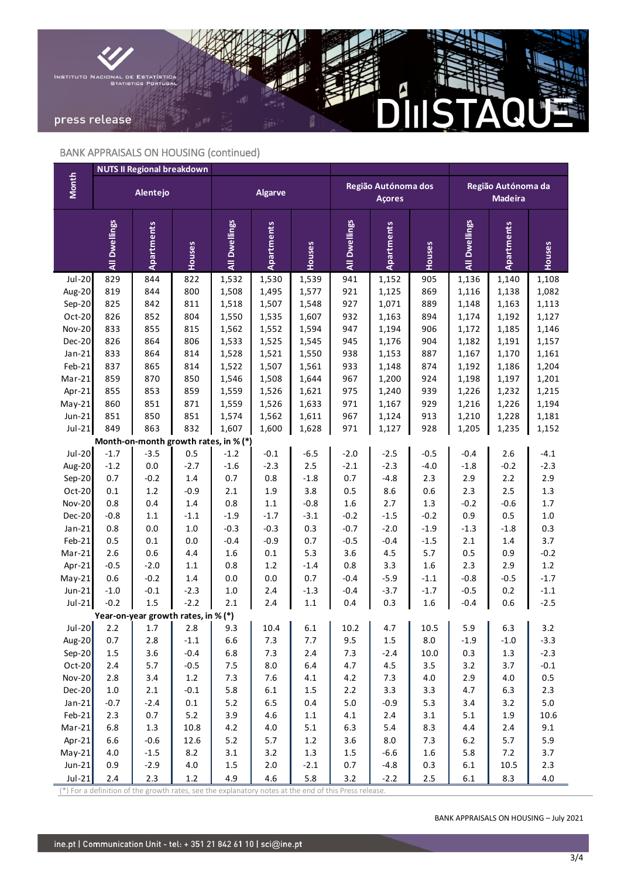

# BANK APPRAISALS ON HOUSING (continued)

|                         | <b>NUTS II Regional breakdown</b> |                                       |                   |                |            |               |                                      |                   |            |                                      |            |                |
|-------------------------|-----------------------------------|---------------------------------------|-------------------|----------------|------------|---------------|--------------------------------------|-------------------|------------|--------------------------------------|------------|----------------|
| <b>Month</b>            | Alentejo                          |                                       |                   | <b>Algarve</b> |            |               | Região Autónoma dos<br><b>Açores</b> |                   |            | Região Autónoma da<br><b>Madeira</b> |            |                |
|                         | All Dwellings                     | Apartments                            | Houses            | All Dwellings  | Apartments | Houses        | All Dwellings                        | Apartments        | Houses     | All Dwellings                        | Apartments | Houses         |
| $Jul-20$                | 829                               | 844                                   | 822               | 1,532          | 1,530      | 1,539         | 941                                  | 1,152             | 905        | 1,136                                | 1,140      | 1,108          |
| Aug-20                  | 819                               | 844                                   | 800               | 1,508          | 1,495      | 1,577         | 921                                  | 1,125             | 869        | 1,116                                | 1,138      | 1,082          |
| Sep-20                  | 825                               | 842                                   | 811               | 1,518          | 1,507      | 1,548         | 927                                  | 1,071             | 889        | 1,148                                | 1,163      | 1,113          |
| Oct-20                  | 826                               | 852                                   | 804               | 1,550          | 1,535      | 1,607         | 932                                  | 1,163             | 894        | 1,174                                | 1,192      | 1,127          |
| <b>Nov-20</b>           | 833                               | 855                                   | 815               | 1,562          | 1,552      | 1,594         | 947                                  | 1,194             | 906        | 1,172                                | 1,185      | 1,146          |
| Dec-20                  | 826                               | 864                                   | 806               | 1,533          | 1,525      | 1,545         | 945                                  | 1,176             | 904        | 1,182                                | 1,191      | 1,157          |
| $Jan-21$                | 833                               | 864                                   | 814               | 1,528          | 1,521      | 1,550         | 938                                  | 1,153             | 887        | 1,167                                | 1,170      | 1,161          |
| Feb-21                  | 837                               | 865                                   | 814               | 1,522          | 1,507      | 1,561         | 933                                  | 1,148             | 874        | 1,192                                | 1,186      | 1,204          |
| $Mar-21$                | 859                               | 870                                   | 850               | 1,546          | 1,508      | 1,644         | 967                                  | 1,200             | 924        | 1,198                                | 1,197      | 1,201          |
| Apr-21                  | 855                               | 853                                   | 859               | 1,559          | 1,526      | 1,621         | 975                                  | 1,240             | 939        | 1,226                                | 1,232      | 1,215          |
| $May-21$                | 860                               | 851                                   | 871               | 1,559          | 1,526      | 1,633         | 971                                  | 1,167             | 929        | 1,216                                | 1,226      | 1,194          |
| $Jun-21$                | 851                               | 850                                   | 851               | 1,574          | 1,562      | 1,611         | 967                                  | 1,124             | 913        | 1,210                                | 1,228      | 1,181          |
| $Jul-21$                | 849                               | 863                                   | 832               | 1,607          | 1,600      | 1,628         | 971                                  | 1,127             | 928        | 1,205                                | 1,235      | 1,152          |
|                         |                                   | Month-on-month growth rates, in % (*) |                   |                |            |               |                                      |                   |            |                                      |            |                |
| Jul-20                  | $-1.7$                            | $-3.5$                                | 0.5               | $-1.2$         | $-0.1$     | $-6.5$        | $-2.0$                               | $-2.5$            | $-0.5$     | $-0.4$                               | 2.6        | $-4.1$         |
| Aug-20                  | $-1.2$                            | 0.0                                   | $-2.7$            | $-1.6$         | $-2.3$     | $2.5\,$       | $-2.1$                               | $-2.3$            | $-4.0$     | $-1.8$                               | $-0.2$     | $-2.3$         |
| Sep-20                  | 0.7<br>$0.1\,$                    | $-0.2$<br>$1.2\,$                     | $1.4\,$<br>$-0.9$ | 0.7<br>2.1     | 0.8<br>1.9 | $-1.8$<br>3.8 | $0.7\,$<br>$0.5\,$                   | $-4.8$<br>$8.6\,$ | 2.3<br>0.6 | 2.9<br>2.3                           | 2.2<br>2.5 | 2.9<br>$1.3\,$ |
| Oct-20<br><b>Nov-20</b> | 0.8                               | 0.4                                   | $1.4\,$           | 0.8            | $1.1\,$    | $-0.8$        | $1.6\,$                              | 2.7               | $1.3\,$    | $-0.2$                               | $-0.6$     | $1.7\,$        |
| Dec-20                  | $-0.8$                            | $1.1\,$                               | $-1.1$            | $-1.9$         | $-1.7$     | $-3.1$        | $-0.2$                               | $-1.5$            | $-0.2$     | 0.9                                  | $0.5\,$    | $1.0\,$        |
| $Jan-21$                | 0.8                               | 0.0                                   | $1.0\,$           | $-0.3$         | $-0.3$     | 0.3           | $-0.7$                               | $-2.0$            | $-1.9$     | $-1.3$                               | $-1.8$     | 0.3            |
| $Feb-21$                | 0.5                               | $0.1\,$                               | $0.0\,$           | $-0.4$         | $-0.9$     | $0.7\,$       | $-0.5$                               | $-0.4$            | $-1.5$     | 2.1                                  | $1.4\,$    | 3.7            |
| $Mar-21$                | 2.6                               | 0.6                                   | 4.4               | 1.6            | $0.1\,$    | 5.3           | 3.6                                  | $4.5\,$           | 5.7        | 0.5                                  | 0.9        | $-0.2$         |
| Apr-21                  | $-0.5$                            | $-2.0$                                | $1.1\,$           | 0.8            | $1.2\,$    | $-1.4$        | $0.8\,$                              | 3.3               | 1.6        | 2.3                                  | 2.9        | $1.2\,$        |
| $May-21$                | 0.6                               | $-0.2$                                | 1.4               | 0.0            | $0.0\,$    | $0.7\,$       | $-0.4$                               | $-5.9$            | $-1.1$     | $-0.8$                               | $-0.5$     | $-1.7$         |
| $Jun-21$                | $-1.0$                            | $-0.1$                                | $-2.3$            | 1.0            | 2.4        | $-1.3$        | $-0.4$                               | $-3.7$            | $-1.7$     | $-0.5$                               | 0.2        | $-1.1$         |
| $Jul-21$                | $-0.2$                            | 1.5                                   | $-2.2$            | 2.1            | 2.4        | $1.1\,$       | 0.4                                  | 0.3               | 1.6        | $-0.4$                               | 0.6        | $-2.5$         |
|                         |                                   | Year-on-year growth rates, in % (*)   |                   |                |            |               |                                      |                   |            |                                      |            |                |
| Jul-20                  | 2.2                               | 1.7                                   | 2.8               | 9.3            | 10.4       | $6.1\,$       | 10.2                                 | 4.7               | 10.5       | 5.9                                  | 6.3        | 3.2            |
| Aug-20                  | 0.7                               | 2.8                                   | $-1.1$            | 6.6            | 7.3        | 7.7           | 9.5                                  | 1.5               | $8.0\,$    | $-1.9$                               | $-1.0$     | $-3.3$         |
| $Sep-20$                | 1.5                               | 3.6                                   | $-0.4$            | 6.8            | 7.3        | $2.4\,$       | 7.3                                  | $-2.4$            | 10.0       | 0.3                                  | 1.3        | $-2.3$         |
| $Oct-20$                | $2.4$                             | 5.7                                   | $-0.5$            | 7.5            | $8.0\,$    | 6.4           | 4.7                                  | 4.5               | 3.5        | 3.2                                  | 3.7        | $-0.1$         |
| $Nov-20$                | $2.8\,$                           | 3.4                                   | 1.2               | 7.3            | $7.6$      | $4.1\,$       | 4.2                                  | 7.3               | 4.0        | 2.9                                  | $4.0\,$    | $0.5\,$        |
| $Dec-20$                | $1.0\,$                           | 2.1                                   | $-0.1$            | 5.8            | $6.1\,$    | $1.5\,$       | $2.2$                                | 3.3               | 3.3        | 4.7                                  | 6.3        | 2.3            |
| Jan-21                  | $-0.7$                            | $-2.4$                                | $0.1\,$           | $5.2$          | 6.5        | $0.4\,$       | $5.0\,$                              | $-0.9$            | 5.3        | 3.4                                  | 3.2        | $5.0\,$        |
| $Feb-21$                | 2.3                               | 0.7                                   | 5.2               | 3.9            | $4.6\,$    | $1.1\,$       | $4.1\,$                              | $2.4\,$           | 3.1        | 5.1                                  | 1.9        | 10.6           |
| $Mar-21$                | 6.8                               | 1.3                                   | 10.8              | 4.2            | $4.0\,$    | 5.1           | 6.3                                  | $5.4\,$           | 8.3        | $4.4\,$                              | $2.4$      | 9.1            |
| Apr-21                  | 6.6                               | $-0.6$                                | 12.6              | $5.2$          | $5.7$      | $1.2\,$       | 3.6                                  | $8.0\,$           | 7.3        | $6.2\,$                              | 5.7        | 5.9            |
| $May-21$                | $4.0\,$                           | $-1.5$                                | 8.2               | $3.1\,$        | 3.2        | $1.3\,$       | 1.5                                  | $-6.6$            | 1.6        | 5.8                                  | $7.2$      | 3.7            |
| $Jun-21$                | 0.9                               | $-2.9$                                | 4.0               | 1.5            | 2.0        | $-2.1$        | $0.7\,$                              | $-4.8$            | 0.3        | $6.1\,$                              | 10.5       | 2.3            |
| $Jul-21$                | $2.4$                             | 2.3                                   | $1.2\,$           | 4.9            | $4.6\,$    | 5.8           | 3.2                                  | $-2.2$            | $2.5\,$    | $6.1\,$                              | 8.3        | $4.0\,$        |

 $\binom{*}{*}$  For a definition of the growth rates, see the explanatory notes at the end of this Press release.